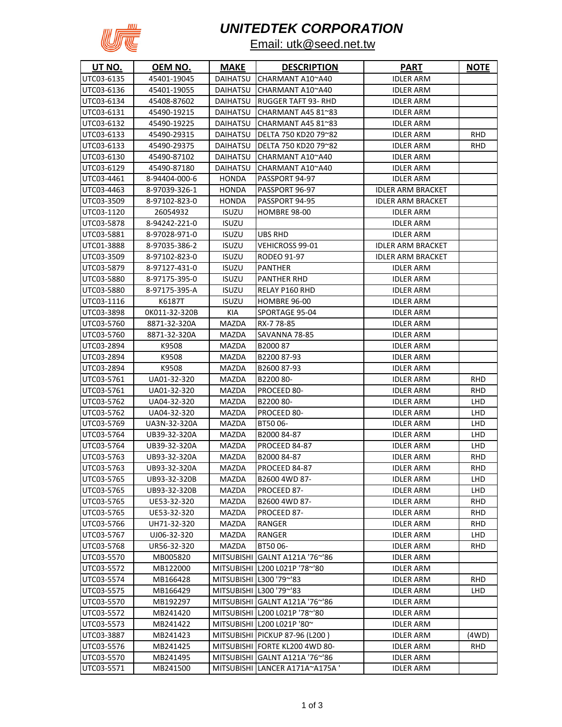

# *UNITEDTEK CORPORATION*

### Email: utk@seed.net.tw

| <b>UT NO.</b> | <u>OEM NO.</u> | <b>MAKE</b>       | <b>DESCRIPTION</b>               | <u>PART</u>              | <b>NOTE</b> |
|---------------|----------------|-------------------|----------------------------------|--------------------------|-------------|
| UTC03-6135    | 45401-19045    | DAIHATSU          | CHARMANT A10~A40                 | <b>IDLER ARM</b>         |             |
| UTC03-6136    | 45401-19055    | DAIHATSU          | CHARMANT A10~A40                 | <b>IDLER ARM</b>         |             |
| UTC03-6134    | 45408-87602    | DAIHATSU          | <b>RUGGER TAFT 93- RHD</b>       | <b>IDLER ARM</b>         |             |
| UTC03-6131    | 45490-19215    | DAIHATSU          | CHARMANT A45 81~83               | <b>IDLER ARM</b>         |             |
| UTC03-6132    | 45490-19225    | DAIHATSU          | CHARMANT A45 81~83               | <b>IDLER ARM</b>         |             |
| UTC03-6133    | 45490-29315    | DAIHATSU          | DELTA 750 KD20 79~82             | <b>IDLER ARM</b>         | <b>RHD</b>  |
| UTC03-6133    | 45490-29375    | DAIHATSU          | DELTA 750 KD20 79~82             | <b>IDLER ARM</b>         | <b>RHD</b>  |
| UTC03-6130    | 45490-87102    | <b>DAIHATSU</b>   | CHARMANT A10~A40                 | <b>IDLER ARM</b>         |             |
| UTC03-6129    | 45490-87180    | DAIHATSU          | CHARMANT A10~A40                 | <b>IDLER ARM</b>         |             |
| UTC03-4461    | 8-94404-000-6  | <b>HONDA</b>      | PASSPORT 94-97                   | <b>IDLER ARM</b>         |             |
| UTC03-4463    | 8-97039-326-1  | <b>HONDA</b>      | PASSPORT 96-97                   | <b>IDLER ARM BRACKET</b> |             |
| UTC03-3509    | 8-97102-823-0  | <b>HONDA</b>      | PASSPORT 94-95                   | <b>IDLER ARM BRACKET</b> |             |
| UTC03-1120    | 26054932       | <b>ISUZU</b>      | HOMBRE 98-00                     | <b>IDLER ARM</b>         |             |
| UTC03-5878    | 8-94242-221-0  | ISUZU             |                                  | <b>IDLER ARM</b>         |             |
| UTC03-5881    | 8-97028-971-0  | <b>ISUZU</b>      | UBS RHD                          | <b>IDLER ARM</b>         |             |
| UTC01-3888    | 8-97035-386-2  | <b>ISUZU</b>      | <b>VEHICROSS 99-01</b>           | <b>IDLER ARM BRACKET</b> |             |
| UTC03-3509    | 8-97102-823-0  | ISUZU             | <b>RODEO 91-97</b>               | <b>IDLER ARM BRACKET</b> |             |
| UTC03-5879    | 8-97127-431-0  | ISUZU             | <b>PANTHER</b>                   | <b>IDLER ARM</b>         |             |
| UTC03-5880    | 8-97175-395-0  | <b>ISUZU</b>      | <b>PANTHER RHD</b>               | <b>IDLER ARM</b>         |             |
| UTC03-5880    | 8-97175-395-A  | <b>ISUZU</b>      | <b>RELAY P160 RHD</b>            | <b>IDLER ARM</b>         |             |
| UTC03-1116    | K6187T         | <b>ISUZU</b>      | <b>HOMBRE 96-00</b>              | <b>IDLER ARM</b>         |             |
| UTC03-3898    | OK011-32-320B  | KIA               | SPORTAGE 95-04                   | <b>IDLER ARM</b>         |             |
| UTC03-5760    | 8871-32-320A   | <b>MAZDA</b>      | RX-7 78-85                       | <b>IDLER ARM</b>         |             |
| UTC03-5760    | 8871-32-320A   | MAZDA             | SAVANNA 78-85                    | <b>IDLER ARM</b>         |             |
| UTC03-2894    | K9508          | MAZDA             | B200087                          | <b>IDLER ARM</b>         |             |
| UTC03-2894    | K9508          | MAZDA             | B2200 87-93                      | <b>IDLER ARM</b>         |             |
| UTC03-2894    | K9508          | MAZDA             | B2600 87-93                      | <b>IDLER ARM</b>         |             |
| UTC03-5761    | UA01-32-320    | MAZDA             | B2200 80-                        | <b>IDLER ARM</b>         | <b>RHD</b>  |
| UTC03-5761    | UA01-32-320    | MAZDA             | PROCEED 80-                      | <b>IDLER ARM</b>         | <b>RHD</b>  |
| UTC03-5762    | UA04-32-320    | MAZDA             | B2200 80-                        | <b>IDLER ARM</b>         | LHD         |
| UTC03-5762    | UA04-32-320    | MAZDA             | PROCEED 80-                      | <b>IDLER ARM</b>         | LHD         |
| UTC03-5769    | UA3N-32-320A   | MAZDA             | BT5006-                          | <b>IDLER ARM</b>         | LHD         |
| UTC03-5764    | UB39-32-320A   | MAZDA             | B2000 84-87                      | <b>IDLER ARM</b>         | LHD         |
| UTC03-5764    | UB39-32-320A   | MAZDA             | PROCEED 84-87                    | <b>IDLER ARM</b>         | LHD         |
| UTC03-5763    | UB93-32-320A   | MAZDA             | B2000 84-87                      | <b>IDLER ARM</b>         | <b>RHD</b>  |
| UTC03-5763    | UB93-32-320A   | MAZDA             | PROCEED 84-87                    | <b>IDLER ARM</b>         | RHD         |
| UTC03-5765    | UB93-32-320B   | MAZDA             | B2600 4WD 87-                    | <b>IDLER ARM</b>         | LHD         |
| UTC03-5765    | UB93-32-320B   | MAZDA             | PROCEED 87-                      | <b>IDLER ARM</b>         | <b>LHD</b>  |
| UTC03-5765    | UE53-32-320    | MAZDA             | B2600 4WD 87-                    | <b>IDLER ARM</b>         | <b>RHD</b>  |
| UTC03-5765    | UE53-32-320    | MAZDA             | PROCEED 87-                      | <b>IDLER ARM</b>         | <b>RHD</b>  |
| UTC03-5766    | UH71-32-320    | MAZDA             | <b>RANGER</b>                    | <b>IDLER ARM</b>         | <b>RHD</b>  |
| UTC03-5767    | UJ06-32-320    | MAZDA             | <b>RANGER</b>                    | <b>IDLER ARM</b>         | <b>LHD</b>  |
| UTC03-5768    | UR56-32-320    | MAZDA             | BT5006-                          | <b>IDLER ARM</b>         | <b>RHD</b>  |
| UTC03-5570    | MB005820       | <b>MITSUBISHI</b> | GALNT A121A '76~'86              | <b>IDLER ARM</b>         |             |
| UTC03-5572    | MB122000       |                   | MITSUBISHI L200 L021P '78~'80    | <b>IDLER ARM</b>         |             |
| UTC03-5574    | MB166428       |                   | MITSUBISHI L300 '79~'83          | <b>IDLER ARM</b>         | <b>RHD</b>  |
| UTC03-5575    | MB166429       |                   | MITSUBISHI L300 '79~'83          | <b>IDLER ARM</b>         | LHD         |
| UTC03-5570    | MB192297       |                   | MITSUBISHI GALNT A121A '76~'86   | <b>IDLER ARM</b>         |             |
| UTC03-5572    | MB241420       |                   | MITSUBISHI L200 L021P '78~'80    | <b>IDLER ARM</b>         |             |
| UTC03-5573    | MB241422       |                   | MITSUBISHI L200 L021P '80~       | <b>IDLER ARM</b>         |             |
| UTC03-3887    | MB241423       |                   | MITSUBISHI   PICKUP 87-96 (L200) | <b>IDLER ARM</b>         | (4WD)       |
| UTC03-5576    | MB241425       |                   | MITSUBISHI FORTE KL200 4WD 80-   | <b>IDLER ARM</b>         | <b>RHD</b>  |
| UTC03-5570    | MB241495       |                   | MITSUBISHI GALNT A121A '76~'86   | <b>IDLER ARM</b>         |             |
| UTC03-5571    | MB241500       |                   | MITSUBISHI LANCER A171A~A175A '  | <b>IDLER ARM</b>         |             |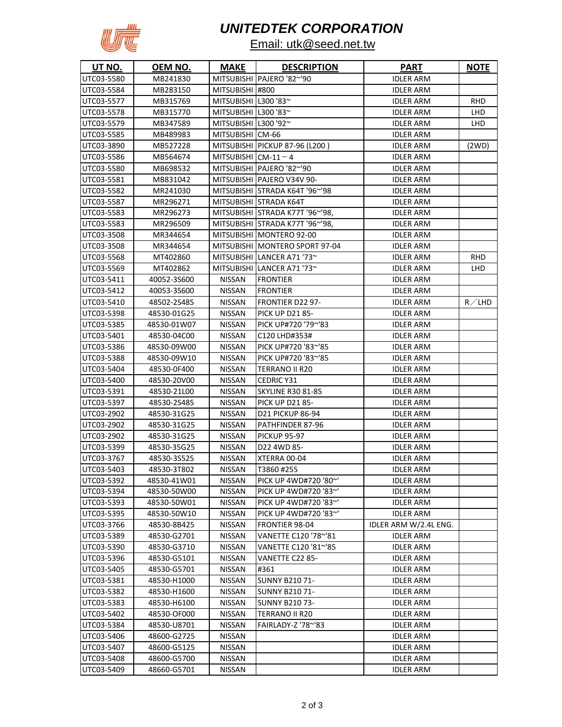

## *UNITEDTEK CORPORATION*

### Email: utk@seed.net.tw

| <u>UT NO.</u> | <u>OEM NO.</u> | <b>MAKE</b>          | <b>DESCRIPTION</b>              | <u>PART</u>           | <u>NOTE</u> |
|---------------|----------------|----------------------|---------------------------------|-----------------------|-------------|
| UTC03-5580    | MB241830       |                      | MITSUBISHI PAJERO '82~'90       | <b>IDLER ARM</b>      |             |
| UTC03-5584    | MB283150       | MITSUBISHI #800      |                                 | <b>IDLER ARM</b>      |             |
| UTC03-5577    | MB315769       | MITSUBISHI L300 '83~ |                                 | <b>IDLER ARM</b>      | <b>RHD</b>  |
| UTC03-5578    | MB315770       | MITSUBISHI L300 '83~ |                                 | <b>IDLER ARM</b>      | LHD.        |
| UTC03-5579    | MB347589       | MITSUBISHI L300 '92~ |                                 | <b>IDLER ARM</b>      | LHD.        |
| UTC03-5585    | MB489983       | MITSUBISHI CM-66     |                                 | <b>IDLER ARM</b>      |             |
| UTC03-3890    | MB527228       |                      | MITSUBISHI PICKUP 87-96 (L200)  | <b>IDLER ARM</b>      | (2WD)       |
| UTC03-5586    | MB564674       | MITSUBISHI $CM-11-4$ |                                 | <b>IDLER ARM</b>      |             |
| UTC03-5580    | MB698532       |                      | MITSUBISHI IPAJERO '82~'90      | <b>IDLER ARM</b>      |             |
| UTC03-5581    | MB831042       |                      | MITSUBISHI   PAJERO V34V 90-    | <b>IDLER ARM</b>      |             |
| UTC03-5582    | MR241030       |                      | MITSUBISHI STRADA K64T '96~'98  | <b>IDLER ARM</b>      |             |
| UTC03-5587    | MR296271       |                      | MITSUBISHI STRADA K64T          | <b>IDLER ARM</b>      |             |
| UTC03-5583    | MR296273       |                      | MITSUBISHI STRADA K77T '96~'98, | <b>IDLER ARM</b>      |             |
| UTC03-5583    | MR296509       |                      | MITSUBISHI STRADA K77T '96~'98, | <b>IDLER ARM</b>      |             |
| UTC03-3508    | MR344654       |                      | MITSUBISHI MONTERO 92-00        | <b>IDLER ARM</b>      |             |
| UTC03-3508    | MR344654       |                      | MITSUBISHI MONTERO SPORT 97-04  | <b>IDLER ARM</b>      |             |
| UTC03-5568    | MT402860       |                      | MITSUBISHI LANCER A71 '73~      | <b>IDLER ARM</b>      | <b>RHD</b>  |
| UTC03-5569    | MT402862       |                      | MITSUBISHI LANCER A71 '73~      | <b>IDLER ARM</b>      | LHD.        |
| UTC03-5411    | 40052-35600    | <b>NISSAN</b>        | <b>FRONTIER</b>                 | <b>IDLER ARM</b>      |             |
| UTC03-5412    | 40053-35600    | <b>NISSAN</b>        | <b>FRONTIER</b>                 | <b>IDLER ARM</b>      |             |
| UTC03-5410    | 48502-2S485    | <b>NISSAN</b>        | <b>FRONTIER D22 97-</b>         | <b>IDLER ARM</b>      | R/LHD       |
| UTC03-5398    | 48530-01G25    | <b>NISSAN</b>        | <b>PICK UP D21 85-</b>          | <b>IDLER ARM</b>      |             |
| UTC03-5385    | 48530-01W07    | <b>NISSAN</b>        | PICK UP#720 '79~'83             | <b>IDLER ARM</b>      |             |
| UTC03-5401    | 48530-04C00    | <b>NISSAN</b>        | C120 LHD#353#                   | <b>IDLER ARM</b>      |             |
| UTC03-5386    | 48530-09W00    | NISSAN               | PICK UP#720 '83~'85             | <b>IDLER ARM</b>      |             |
| UTC03-5388    | 48530-09W10    | NISSAN               | PICK UP#720 '83~'85             | <b>IDLER ARM</b>      |             |
| UTC03-5404    | 48530-0F400    | <b>NISSAN</b>        | TERRANO II R20                  | <b>IDLER ARM</b>      |             |
| UTC03-5400    | 48530-20V00    | NISSAN               | <b>CEDRIC Y31</b>               | <b>IDLER ARM</b>      |             |
| UTC03-5391    | 48530-21L00    | <b>NISSAN</b>        | <b>SKYLINE R30 81-85</b>        | <b>IDLER ARM</b>      |             |
| UTC03-5397    | 48530-2S485    | <b>NISSAN</b>        | <b>PICK UP D21 85-</b>          | <b>IDLER ARM</b>      |             |
| UTC03-2902    | 48530-31G25    | <b>NISSAN</b>        | <b>D21 PICKUP 86-94</b>         | <b>IDLER ARM</b>      |             |
| UTC03-2902    | 48530-31G25    | <b>NISSAN</b>        | PATHFINDER 87-96                | <b>IDLER ARM</b>      |             |
| UTC03-2902    | 48530-31G25    | <b>NISSAN</b>        | <b>PICKUP 95-97</b>             | <b>IDLER ARM</b>      |             |
| UTC03-5399    | 48530-35G25    | <b>NISSAN</b>        | D22 4WD 85-                     | <b>IDLER ARM</b>      |             |
| UTC03-3767    | 48530-3S525    | <b>NISSAN</b>        | XTERRA 00-04                    | <b>IDLER ARM</b>      |             |
| UTC03-5403    | 48530-3T802    | <b>NISSAN</b>        | T3860 #255                      | <b>IDLER ARM</b>      |             |
| UTC03-5392    | 48530-41W01    | <b>NISSAN</b>        | PICK UP 4WD#720 '80~'           | <b>IDLER ARM</b>      |             |
| UTC03-5394    | 48530-50W00    | <b>NISSAN</b>        | PICK UP 4WD#720 '83~'           | <b>IDLER ARM</b>      |             |
| UTC03-5393    | 48530-50W01    | <b>NISSAN</b>        | PICK UP 4WD#720 '83~'           | <b>IDLER ARM</b>      |             |
| UTC03-5395    | 48530-50W10    | <b>NISSAN</b>        | PICK UP 4WD#720 '83~'           | <b>IDLER ARM</b>      |             |
| UTC03-3766    | 48530-8B425    | <b>NISSAN</b>        | <b>FRONTIER 98-04</b>           | IDLER ARM W/2.4L ENG. |             |
| UTC03-5389    | 48530-G2701    | <b>NISSAN</b>        | VANETTE C120 '78~'81            | <b>IDLER ARM</b>      |             |
| UTC03-5390    | 48530-G3710    | <b>NISSAN</b>        | VANETTE C120 '81~'85            | <b>IDLER ARM</b>      |             |
| UTC03-5396    | 48530-G5101    | <b>NISSAN</b>        | VANETTE C22 85-                 | <b>IDLER ARM</b>      |             |
| UTC03-5405    | 48530-G5701    | <b>NISSAN</b>        | #361                            | <b>IDLER ARM</b>      |             |
| UTC03-5381    | 48530-H1000    | <b>NISSAN</b>        | <b>SUNNY B210 71-</b>           | <b>IDLER ARM</b>      |             |
| UTC03-5382    | 48530-H1600    | <b>NISSAN</b>        | <b>SUNNY B210 71-</b>           | <b>IDLER ARM</b>      |             |
| UTC03-5383    | 48530-H6100    | <b>NISSAN</b>        | <b>SUNNY B210 73-</b>           | <b>IDLER ARM</b>      |             |
| UTC03-5402    | 48530-OF000    | <b>NISSAN</b>        | TERRANO II R20                  | <b>IDLER ARM</b>      |             |
| UTC03-5384    | 48530-U8701    | NISSAN               | FAIRLADY-Z '78~'83              | <b>IDLER ARM</b>      |             |
| UTC03-5406    | 48600-G2725    | <b>NISSAN</b>        |                                 | <b>IDLER ARM</b>      |             |
| UTC03-5407    | 48600-G5125    | NISSAN               |                                 | <b>IDLER ARM</b>      |             |
| UTC03-5408    | 48600-G5700    | NISSAN               |                                 | <b>IDLER ARM</b>      |             |
| UTC03-5409    | 48660-G5701    | NISSAN               |                                 | <b>IDLER ARM</b>      |             |